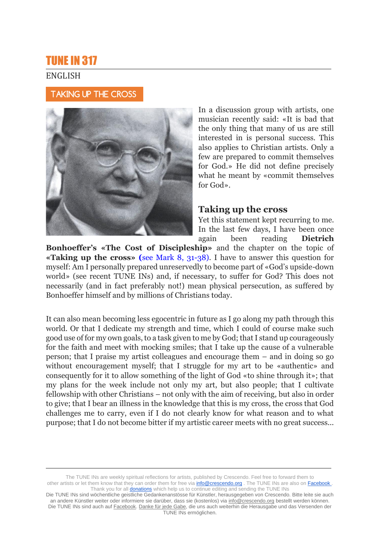# TUNE IN 317

## ENGLISH

### TAKING UP THE CROSS



In a discussion group with artists, one musician recently said: «It is bad that the only thing that many of us are still interested in is personal success. This also applies to Christian artists. Only a few are prepared to commit themselves for God.» He did not define precisely what he meant by «commit themselves for God».

#### **Taking up the cross**

Yet this statement kept recurring to me. In the last few days, I have been once again been reading **Dietrich** 

**Bonhoeffer's «The Cost of Discipleship»** and the chapter on the topic of **«Taking up the cross» (**see Mark 8, 31-38). I have to answer this question for myself: Am I personally prepared unreservedly to become part of «God's upside-down world» (see recent TUNE INs) and, if necessary, to suffer for God? This does not necessarily (and in fact preferably not!) mean physical persecution, as suffered by Bonhoeffer himself and by millions of Christians today.

It can also mean becoming less egocentric in future as I go along my path through this world. Or that I dedicate my strength and time, which I could of course make such good use of for my own goals, to a task given to me by God; that I stand up courageously for the faith and meet with mocking smiles; that I take up the cause of a vulnerable person; that I praise my artist colleagues and encourage them – and in doing so go without encouragement myself; that I struggle for my art to be «authentic» and consequently for it to allow something of the light of God «to shine through it»; that my plans for the week include not only my art, but also people; that I cultivate fellowship with other Christians – not only with the aim of receiving, but also in order to give; that I bear an illness in the knowledge that this is my cross, the cross that God challenges me to carry, even if I do not clearly know for what reason and to what purpose; that I do not become bitter if my artistic career meets with no great success...

The TUNE INs are weekly spiritual reflections for artists, published by Crescendo. Feel free to forward them to other artists or let them know that they can order them for free via **info@crescendo.org** . The TUNE INs are also on Facebook . Thank you for all **donations** which help us to continue editing and sending the TUNE INs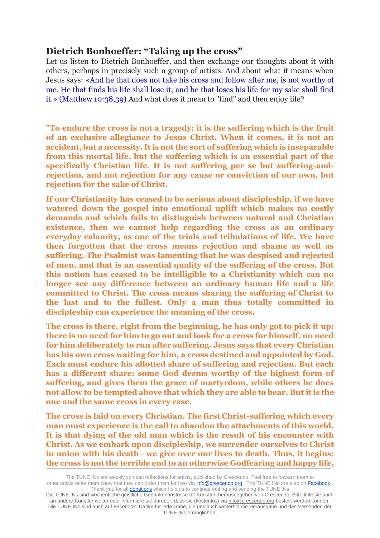### **Dietrich Bonhoeffer: "Taking up the cross"**

Let us listen to Dietrich Bonhoeffer, and then exchange our thoughts about it with others, perhaps in precisely such a group of artists. And about what it means when Jesus says: «And he that does not take his cross and follow after me, is not worthy of me. He that finds his life shall lose it; and he that loses his life for my sake shall find it.» (Matthew 10:38,39) And what does it mean to "find" and then enjoy life?

**"To endure the cross is not a tragedy; it is the suffering which is the fruit of an exclusive allegiance to Jesus Christ. When it comes, it is not an accident, but a necessity. It is not the sort of suffering which is inseparable from this mortal life, but the suffering which is an essential part of the specifically Christian life. It is not suffering per se but suffering-andrejection, and not rejection for any cause or conviction of our own, but rejection for the sake of Christ.**

**If our Christianity has ceased to be serious about discipleship, if we have watered down the gospel into emotional uplift which makes no costly demands and which fails to distinguish between natural and Christian existence, then we cannot help regarding the cross as an ordinary everyday calamity, as one of the trials and tribulations of life. We have then forgotten that the cross means rejection and shame as well as suffering. The Psalmist was lamenting that he was despised and rejected of men, and that is an essential quality of the suffering of the cross. But this notion has ceased to be intelligible to a Christianity which can no longer see any difference between an ordinary human life and a life committed to Christ. The cross means sharing the suffering of Christ to the last and to the fullest. Only a man thus totally committed in discipleship can experience the meaning of the cross.**

**The cross is there, right from the beginning, he has only got to pick it up: there is no need for him to go out and look for a cross for himself, no need for him deliberately to run after suffering. Jesus says that every Christian has his own cross waiting for him, a cross destined and appointed by God. Each must endure his allotted share of suffering and rejection. But each has a different share: some God deems worthy of the highest form of suffering, and gives them the grace of martyrdom, while others he does not allow to be tempted above that which they are able to bear. But it is the one and the same cross in every case.**

**The cross is laid on every Christian. The first Christ-suffering which every man must experience is the call to abandon the attachments of this world. It is that dying of the old man which is the result of his encounter with Christ. As we embark upon discipleship, we surrender ourselves to Christ in union with his death—we give over our lives to death. Thus, it begins; the cross is not the terrible end to an otherwise Godfearing and happy life,** 

The TUNE INs are weekly spiritual reflections for artists, published by Crescendo. Feel free to forward them to other artists or let them know that they can order them for free vi[a info@crescendo.org](mailto:info@crescendo.org). The TUNE INs are also on Facebook. Thank you for all **donations** which help us to continue editing and sending the TUNE INs

Die TUNE INs sind wöchentliche geistliche Gedankenanstösse für Künstler, herausgegeben von Crescendo. Bitte leite sie auch an andere Künstler weiter oder informiere sie darüber, dass sie (kostenlos) via [info@crescendo.org](mailto:info@crescendo.org) bestellt werden können. Die TUNE INs sind auch auf [Facebook.](https://www.facebook.com/TUNEINs/) [Danke für jede Gabe,](https://www.crescendo.org/de/kontakt--spenden.html) die uns auch weiterhin die Herausgabe und das Versenden der TUNE INs ermöglichen.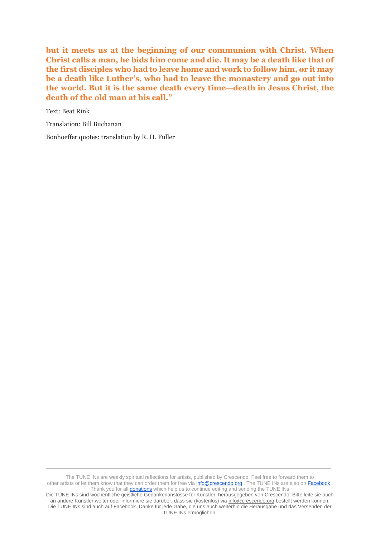**but it meets us at the beginning of our communion with Christ. When Christ calls a man, he bids him come and die. It may be a death like that of the first disciples who had to leave home and work to follow him, or it may be a death like Luther's, who had to leave the monastery and go out into the world. But it is the same death every time—death in Jesus Christ, the death of the old man at his call."**

Text: Beat Rink

Translation: Bill Buchanan

Bonhoeffer quotes: translation by R. H. Fuller

The TUNE INs are weekly spiritual reflections for artists, published by Crescendo. Feel free to forward them to other artists or let them know that they can order them for free via **info@crescendo.org** . The TUNE INs are also on Facebook . Thank you for all **donations** which help us to continue editing and sending the TUNE INs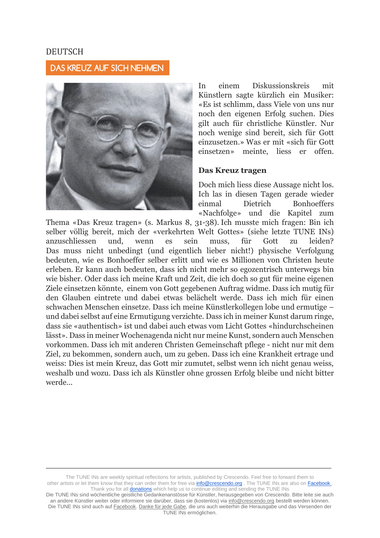#### DEUTSCH

#### DAS KREUZ AUF SICH NEHMEN



In einem Diskussionskreis mit Künstlern sagte kürzlich ein Musiker: «Es ist schlimm, dass Viele von uns nur noch den eigenen Erfolg suchen. Dies gilt auch für christliche Künstler. Nur noch wenige sind bereit, sich für Gott einzusetzen.» Was er mit «sich für Gott einsetzen» meinte, liess er offen.

#### **Das Kreuz tragen**

Doch mich liess diese Aussage nicht los. Ich las in diesen Tagen gerade wieder einmal Dietrich Bonhoeffers «Nachfolge» und die Kapitel zum

Thema «Das Kreuz tragen» (s. Markus 8, 31-38). Ich musste mich fragen: Bin ich selber völlig bereit, mich der «verkehrten Welt Gottes» (siehe letzte TUNE INs) anzuschliessen und, wenn es sein muss, für Gott zu leiden? Das muss nicht unbedingt (und eigentlich lieber nicht!) physische Verfolgung bedeuten, wie es Bonhoeffer selber erlitt und wie es Millionen von Christen heute erleben. Er kann auch bedeuten, dass ich nicht mehr so egozentrisch unterwegs bin wie bisher. Oder dass ich meine Kraft und Zeit, die ich doch so gut für meine eigenen Ziele einsetzen könnte, einem von Gott gegebenen Auftrag widme. Dass ich mutig für den Glauben eintrete und dabei etwas belächelt werde. Dass ich mich für einen schwachen Menschen einsetze. Dass ich meine Künstlerkollegen lobe und ermutige – und dabei selbst auf eine Ermutigung verzichte. Dass ich in meiner Kunst darum ringe, dass sie «authentisch» ist und dabei auch etwas vom Licht Gottes «hindurchscheinen lässt». Dass in meiner Wochenagenda nicht nur meine Kunst, sondern auch Menschen vorkommen. Dass ich mit anderen Christen Gemeinschaft pflege - nicht nur mit dem Ziel, zu bekommen, sondern auch, um zu geben. Dass ich eine Krankheit ertrage und weiss: Dies ist mein Kreuz, das Gott mir zumutet, selbst wenn ich nicht genau weiss, weshalb und wozu. Dass ich als Künstler ohne grossen Erfolg bleibe und nicht bitter werde...

The TUNE INs are weekly spiritual reflections for artists, published by Crescendo. Feel free to forward them to other artists or let them know that they can order them for free via **info@crescendo.org** . The TUNE INs are also on Facebook Thank you for all **donations** which help us to continue editing and sending the TUNE INs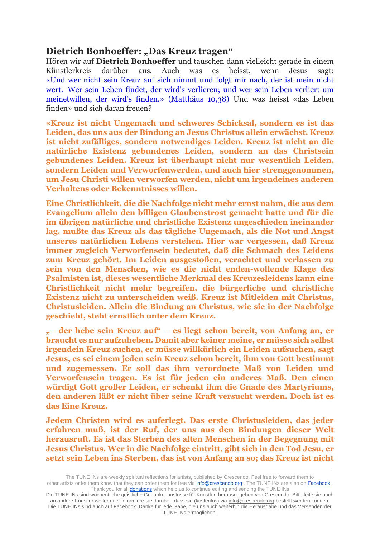### **Dietrich Bonhoeffer: "Das Kreuz tragen"**

Hören wir auf **Dietrich Bonhoeffer** und tauschen dann vielleicht gerade in einem Künstlerkreis darüber aus. Auch was es heisst, wenn Jesus sagt: «Und wer nicht sein Kreuz auf sich nimmt und folgt mir nach, der ist mein nicht wert. Wer sein Leben findet, der wird's verlieren; und wer sein Leben verliert um meinetwillen, der wird's finden.» (Matthäus 10,38) Und was heisst «das Leben finden» und sich daran freuen?

**«Kreuz ist nicht Ungemach und schweres Schicksal, sondern es ist das Leiden, das uns aus der Bindung an Jesus Christus allein erwächst. Kreuz ist nicht zufälliges, sondern notwendiges Leiden. Kreuz ist nicht an die natürliche Existenz gebundenes Leiden, sondern an das Christsein gebundenes Leiden. Kreuz ist überhaupt nicht nur wesentlich Leiden, sondern Leiden und Verworfenwerden, und auch hier strenggenommen, um Jesu Christi willen verworfen werden, nicht um irgendeines anderen Verhaltens oder Bekenntnisses willen.**

**Eine Christlichkeit, die die Nachfolge nicht mehr ernst nahm, die aus dem Evangelium allein den billigen Glaubenstrost gemacht hatte und für die im übrigen natürliche und christliche Existenz ungeschieden ineinander lag, mußte das Kreuz als das tägliche Ungemach, als die Not und Angst unseres natürlichen Lebens verstehen. Hier war vergessen, daß Kreuz immer zugleich Verworfensein bedeutet, daß die Schmach des Leidens zum Kreuz gehört. Im Leiden ausgestoßen, verachtet und verlassen zu sein von den Menschen, wie es die nicht enden-wollende Klage des Psalmisten ist, dieses wesentliche Merkmal des Kreuzesleidens kann eine Christlichkeit nicht mehr begreifen, die bürgerliche und christliche Existenz nicht zu unterscheiden weiß. Kreuz ist Mitleiden mit Christus, Christusleiden. Allein die Bindung an Christus, wie sie in der Nachfolge geschieht, steht ernstlich unter dem Kreuz.**

**"– der hebe sein Kreuz auf" – es liegt schon bereit, von Anfang an, er braucht es nur aufzuheben. Damit aber keiner meine, er müsse sich selbst irgendein Kreuz suchen, er müsse willkürlich ein Leiden aufsuchen, sagt Jesus, es sei einem jeden sein Kreuz schon bereit, ihm von Gott bestimmt und zugemessen. Er soll das ihm verordnete Maß von Leiden und Verworfensein tragen. Es ist für jeden ein anderes Maß. Den einen würdigt Gott großer Leiden, er schenkt ihm die Gnade des Martyriums, den anderen läßt er nicht über seine Kraft versucht werden. Doch ist es das Eine Kreuz.**

**Jedem Christen wird es auferlegt. Das erste Christusleiden, das jeder erfahren muß, ist der Ruf, der uns aus den Bindungen dieser Welt herausruft. Es ist das Sterben des alten Menschen in der Begegnung mit Jesus Christus. Wer in die Nachfolge eintritt, gibt sich in den Tod Jesu, er setzt sein Leben ins Sterben, das ist von Anfang an so; das Kreuz ist nicht** 

The TUNE INs are weekly spiritual reflections for artists, published by Crescendo. Feel free to forward them to other artists or let them know that they can order them for free via **info@crescendo.org** . The TUNE INs are also on Facebook . Thank you for all **donations** which help us to continue editing and sending the TUNE INs

Die TUNE INs sind wöchentliche geistliche Gedankenanstösse für Künstler, herausgegeben von Crescendo. Bitte leite sie auch an andere Künstler weiter oder informiere sie darüber, dass sie (kostenlos) via [info@crescendo.org](mailto:info@crescendo.org) bestellt werden können. Die TUNE INs sind auch auf [Facebook.](https://www.facebook.com/TUNEINs/) [Danke für jede Gabe,](https://www.crescendo.org/de/kontakt--spenden.html) die uns auch weiterhin die Herausgabe und das Versenden der TUNE INs ermöglichen.